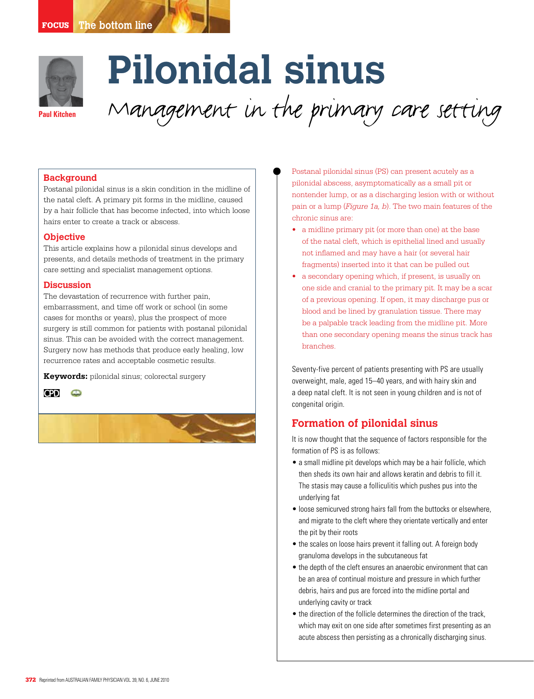

# **Pilonidal sinus**  Management in the primary care setting

## **Background**

Postanal pilonidal sinus is a skin condition in the midline of the natal cleft. A primary pit forms in the midline, caused by a hair follicle that has become infected, into which loose hairs enter to create a track or abscess.

#### **Objective**

This article explains how a pilonidal sinus develops and presents, and details methods of treatment in the primary care setting and specialist management options.

## **Discussion**

The devastation of recurrence with further pain, embarrassment, and time off work or school (in some cases for months or years), plus the prospect of more surgery is still common for patients with postanal pilonidal sinus. This can be avoided with the correct management. Surgery now has methods that produce early healing, low recurrence rates and acceptable cosmetic results.

**Keywords:** pilonidal sinus; colorectal surgery





Postanal pilonidal sinus (PS) can present acutely as a pilonidal abscess, asymptomatically as a small pit or nontender lump, or as a discharging lesion with or without pain or a lump (*Figure 1a, b*). The two main features of the chronic sinus are:

- a midline primary pit (or more than one) at the base of the natal cleft, which is epithelial lined and usually not inflamed and may have a hair (or several hair fragments) inserted into it that can be pulled out
- a secondary opening which, if present, is usually on one side and cranial to the primary pit. It may be a scar of a previous opening. If open, it may discharge pus or blood and be lined by granulation tissue. There may be a palpable track leading from the midline pit. More than one secondary opening means the sinus track has branches.

Seventy-five percent of patients presenting with PS are usually overweight, male, aged 15–40 years, and with hairy skin and a deep natal cleft. It is not seen in young children and is not of congenital origin.

## **Formation of pilonidal sinus**

It is now thought that the sequence of factors responsible for the formation of PS is as follows:

- a small midline pit develops which may be a hair follicle, which then sheds its own hair and allows keratin and debris to fill it. The stasis may cause a folliculitis which pushes pus into the underlying fat
- loose semicurved strong hairs fall from the buttocks or elsewhere, and migrate to the cleft where they orientate vertically and enter the pit by their roots
- the scales on loose hairs prevent it falling out. A foreign body granuloma develops in the subcutaneous fat
- the depth of the cleft ensures an anaerobic environment that can be an area of continual moisture and pressure in which further debris, hairs and pus are forced into the midline portal and underlying cavity or track
- the direction of the follicle determines the direction of the track, which may exit on one side after sometimes first presenting as an acute abscess then persisting as a chronically discharging sinus.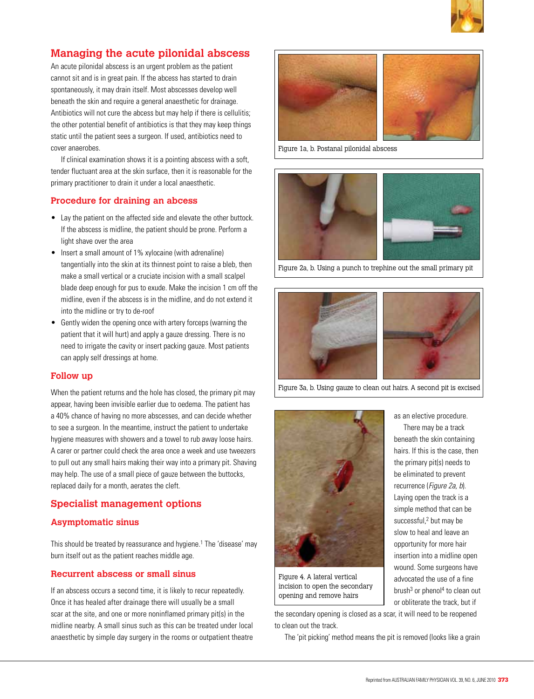

# **Managing the acute pilonidal abscess**

An acute pilonidal abscess is an urgent problem as the patient cannot sit and is in great pain. If the abcess has started to drain spontaneously, it may drain itself. Most abscesses develop well beneath the skin and require a general anaesthetic for drainage. Antibiotics will not cure the abcess but may help if there is cellulitis; the other potential benefit of antibiotics is that they may keep things static until the patient sees a surgeon. If used, antibiotics need to cover anaerobes.

 If clinical examination shows it is a pointing abscess with a soft, tender fluctuant area at the skin surface, then it is reasonable for the primary practitioner to drain it under a local anaesthetic.

## **Procedure for draining an abcess**

- Lay the patient on the affected side and elevate the other buttock. If the abscess is midline, the patient should be prone. Perform a light shave over the area
- Insert a small amount of 1% xylocaine (with adrenaline) tangentially into the skin at its thinnest point to raise a bleb, then make a small vertical or a cruciate incision with a small scalpel blade deep enough for pus to exude. Make the incision 1 cm off the midline, even if the abscess is in the midline, and do not extend it into the midline or try to de-roof
- Gently widen the opening once with artery forceps (warning the patient that it will hurt) and apply a gauze dressing. There is no need to irrigate the cavity or insert packing gauze. Most patients can apply self dressings at home.

## **Follow up**

When the patient returns and the hole has closed, the primary pit may appear, having been invisible earlier due to oedema. The patient has a 40% chance of having no more abscesses, and can decide whether to see a surgeon. In the meantime, instruct the patient to undertake hygiene measures with showers and a towel to rub away loose hairs. A carer or partner could check the area once a week and use tweezers to pull out any small hairs making their way into a primary pit. Shaving may help. The use of a small piece of gauze between the buttocks, replaced daily for a month, aerates the cleft.

## **Specialist management options**

## **Asymptomatic sinus**

This should be treated by reassurance and hygiene.<sup>1</sup> The 'disease' may burn itself out as the patient reaches middle age.

## **Recurrent abscess or small sinus**

If an abscess occurs a second time, it is likely to recur repeatedly. Once it has healed after drainage there will usually be a small scar at the site, and one or more noninflamed primary pit(s) in the midline nearby. A small sinus such as this can be treated under local anaesthetic by simple day surgery in the rooms or outpatient theatre



Figure 1a, b. Postanal pilonidal abscess



Figure 2a, b. Using a punch to trephine out the small primary pit



Figure 3a, b. Using gauze to clean out hairs. A second pit is excised



Figure 4. A lateral vertical incision to open the secondary opening and remove hairs

the primary pit(s) needs to be eliminated to prevent recurrence (Figure 2a, b). Laying open the track is a simple method that can be successful,<sup>2</sup> but may be slow to heal and leave an opportunity for more hair insertion into a midline open wound. Some surgeons have advocated the use of a fine brush $3$  or phenol<sup>4</sup> to clean out or obliterate the track, but if

as an elective procedure. There may be a track beneath the skin containing hairs. If this is the case, then

the secondary opening is closed as a scar, it will need to be reopened to clean out the track.

The 'pit picking' method means the pit is removed (looks like a grain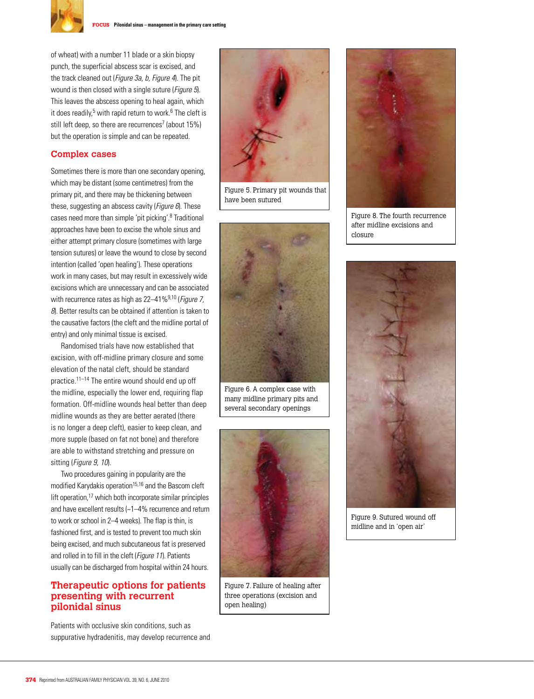

of wheat) with a number 11 blade or a skin biopsy punch, the superficial abscess scar is excised, and the track cleaned out (Figure 3a, b, Figure 4). The pit wound is then closed with a single suture (*Figure 5*). This leaves the abscess opening to heal again, which it does readily,<sup>5</sup> with rapid return to work.<sup>6</sup> The cleft is still left deep, so there are recurrences<sup>7</sup> (about 15%) but the operation is simple and can be repeated.

## **Complex cases**

Sometimes there is more than one secondary opening, which may be distant (some centimetres) from the primary pit, and there may be thickening between these, suggesting an abscess cavity (*Figure 6*). These cases need more than simple 'pit picking'.8 Traditional approaches have been to excise the whole sinus and either attempt primary closure (sometimes with large tension sutures) or leave the wound to close by second intention (called 'open healing'). These operations work in many cases, but may result in excessively wide excisions which are unnecessary and can be associated with recurrence rates as high as  $22-41\%^{9,10}$  (*Figure 7,* 8). Better results can be obtained if attention is taken to the causative factors (the cleft and the midline portal of entry) and only minimal tissue is excised.

Randomised trials have now established that excision, with off-midline primary closure and some elevation of the natal cleft, should be standard practice.11–14 The entire wound should end up off the midline, especially the lower end, requiring flap formation. Off-midline wounds heal better than deep midline wounds as they are better aerated (there is no longer a deep cleft), easier to keep clean, and more supple (based on fat not bone) and therefore are able to withstand stretching and pressure on sitting (Figure 9, 10).

 Two procedures gaining in popularity are the modified Karydakis operation<sup>15,16</sup> and the Bascom cleft lift operation, $17$  which both incorporate similar principles and have excellent results (~1–4% recurrence and return to work or school in 2–4 weeks). The flap is thin, is fashioned first, and is tested to prevent too much skin being excised, and much subcutaneous fat is preserved and rolled in to fill in the cleft (Figure 11). Patients usually can be discharged from hospital within 24 hours.

## **Therapeutic options for patients presenting with recurrent pilonidal sinus**

Patients with occlusive skin conditions, such as suppurative hydradenitis, may develop recurrence and



Figure 5. Primary pit wounds that have been sutured



Figure 6. A complex case with many midline primary pits and several secondary openings



Figure 7. Failure of healing after three operations (excision and open healing)



Figure 8. The fourth recurrence after midline excisions and closure



Figure 9. Sutured wound off midline and in 'open air'